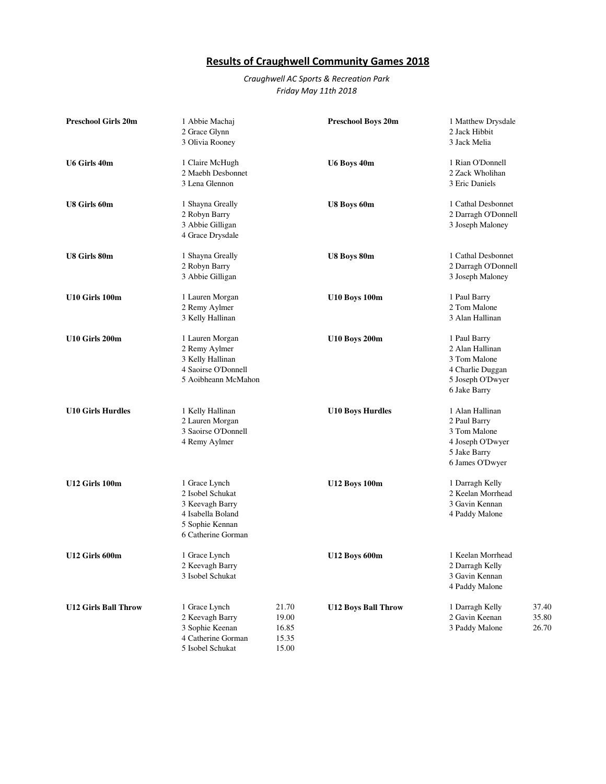## Results of Craughwell Community Games 2018

## Craughwell AC Sports & Recreation Park Friday May 11th 2018

| <b>Preschool Girls 20m</b>  | 1 Abbie Machaj<br>2 Grace Glynn<br>3 Olivia Rooney                                                                 |                                           | Preschool Boys 20m         | 1 Matthew Drysdale<br>2 Jack Hibbit<br>3 Jack Melia                                                     |                         |
|-----------------------------|--------------------------------------------------------------------------------------------------------------------|-------------------------------------------|----------------------------|---------------------------------------------------------------------------------------------------------|-------------------------|
| U6 Girls 40m                | 1 Claire McHugh<br>2 Maebh Desbonnet<br>3 Lena Glennon                                                             |                                           | U6 Boys 40m                | 1 Rian O'Donnell<br>2 Zack Wholihan<br>3 Eric Daniels                                                   |                         |
| U8 Girls 60m                | 1 Shayna Greally<br>2 Robyn Barry<br>3 Abbie Gilligan<br>4 Grace Drysdale                                          |                                           | U8 Boys 60m                | 1 Cathal Desbonnet<br>2 Darragh O'Donnell<br>3 Joseph Maloney                                           |                         |
| U8 Girls 80m                | 1 Shayna Greally<br>2 Robyn Barry<br>3 Abbie Gilligan                                                              |                                           | U8 Boys 80m                | 1 Cathal Desbonnet<br>2 Darragh O'Donnell<br>3 Joseph Maloney                                           |                         |
| U10 Girls 100m              | 1 Lauren Morgan<br>2 Remy Aylmer<br>3 Kelly Hallinan                                                               |                                           | <b>U10 Boys 100m</b>       | 1 Paul Barry<br>2 Tom Malone<br>3 Alan Hallinan                                                         |                         |
| U10 Girls 200m              | 1 Lauren Morgan<br>2 Remy Aylmer<br>3 Kelly Hallinan<br>4 Saoirse O'Donnell<br>5 Aoibheann McMahon                 |                                           | <b>U10 Boys 200m</b>       | 1 Paul Barry<br>2 Alan Hallinan<br>3 Tom Malone<br>4 Charlie Duggan<br>5 Joseph O'Dwyer<br>6 Jake Barry |                         |
| <b>U10 Girls Hurdles</b>    | 1 Kelly Hallinan<br>2 Lauren Morgan<br>3 Saoirse O'Donnell<br>4 Remy Aylmer                                        |                                           | <b>U10 Boys Hurdles</b>    | 1 Alan Hallinan<br>2 Paul Barry<br>3 Tom Malone<br>4 Joseph O'Dwyer<br>5 Jake Barry<br>6 James O'Dwyer  |                         |
| U12 Girls 100m              | 1 Grace Lynch<br>2 Isobel Schukat<br>3 Keevagh Barry<br>4 Isabella Boland<br>5 Sophie Kennan<br>6 Catherine Gorman |                                           | <b>U12 Boys 100m</b>       | 1 Darragh Kelly<br>2 Keelan Morrhead<br>3 Gavin Kennan<br>4 Paddy Malone                                |                         |
| U12 Girls 600m              | 1 Grace Lynch<br>2 Keevagh Barry<br>3 Isobel Schukat                                                               |                                           | <b>U12 Boys 600m</b>       | 1 Keelan Morrhead<br>2 Darragh Kelly<br>3 Gavin Kennan<br>4 Paddy Malone                                |                         |
| <b>U12 Girls Ball Throw</b> | 1 Grace Lynch<br>2 Keevagh Barry<br>3 Sophie Keenan<br>4 Catherine Gorman<br>5 Isobel Schukat                      | 21.70<br>19.00<br>16.85<br>15.35<br>15.00 | <b>U12 Boys Ball Throw</b> | 1 Darragh Kelly<br>2 Gavin Keenan<br>3 Paddy Malone                                                     | 37.40<br>35.80<br>26.70 |